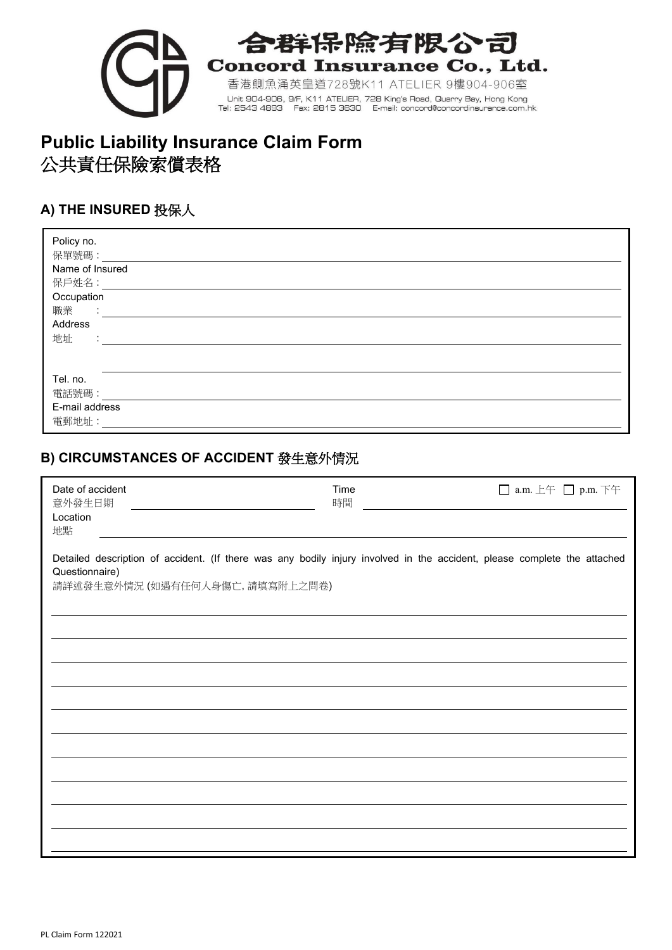

## 辟保險有限公司 **Concord Insurance Co., Ltd.**

香港鰂魚涌英皇道728號K11 ATELIER 9樓904-906室 Unit 904-906, 9/F, K11 ATELIER, 728 King's Road, Quarry Bay, Hong Kong<br>Tel: 2543 4893 Fax: 2815 3630 E-mail: concord@concordinsurance.com.hk

# **Public Liability Insurance Claim Form** 公共責任保險索償表格

## **A) THE INSURED** 投保人

| Policy no.<br>保單號碼:<br>Name of Insured<br>保戶姓名:<br>Occupation<br>職業<br>$\sim 10^{-1}$<br>Address<br>地址<br>$\sim$<br>$\blacksquare$ |  |
|------------------------------------------------------------------------------------------------------------------------------------|--|
| Tel. no.<br>電話號碼:<br>E-mail address<br>電郵地址:                                                                                       |  |

#### **B) CIRCUMSTANCES OF ACCIDENT** 發生意外情況

| Date of accident<br>意外發生日期<br>Location<br>地點                                                                                                                                 | Time<br>時間 | □ a.m. 上午 □ p.m. 下午 |
|------------------------------------------------------------------------------------------------------------------------------------------------------------------------------|------------|---------------------|
| Detailed description of accident. (If there was any bodily injury involved in the accident, please complete the attached<br>Questionnaire)<br>請詳述發生意外情況 (如遇有任何人身傷亡,請填寫附上之問卷) |            |                     |
|                                                                                                                                                                              |            |                     |
|                                                                                                                                                                              |            |                     |
|                                                                                                                                                                              |            |                     |
|                                                                                                                                                                              |            |                     |
|                                                                                                                                                                              |            |                     |
|                                                                                                                                                                              |            |                     |
|                                                                                                                                                                              |            |                     |
|                                                                                                                                                                              |            |                     |
|                                                                                                                                                                              |            |                     |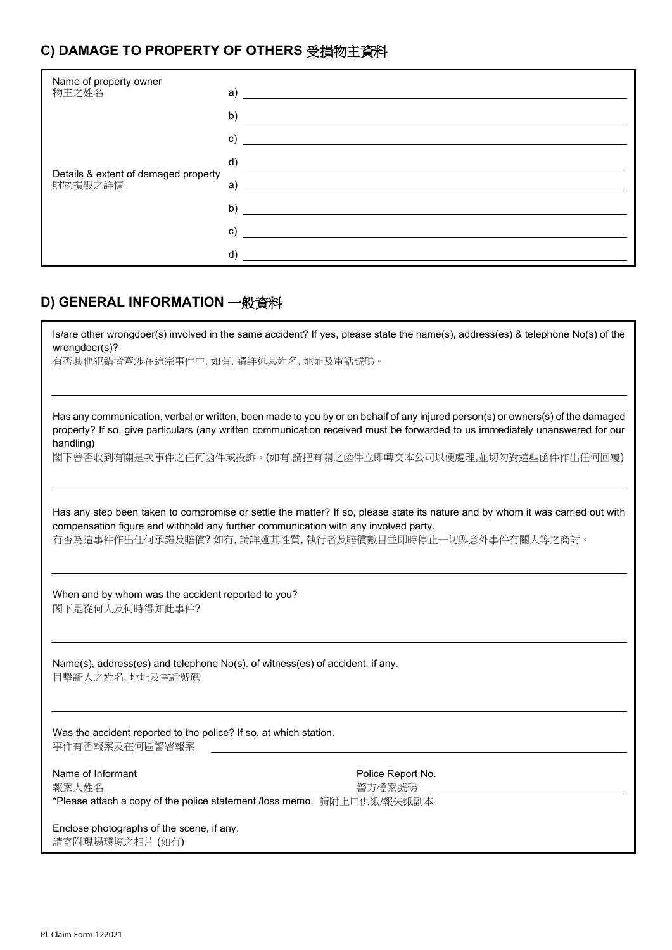## **C) DAMAGE TO PROPERTY OF OTHERS** 受損物主資料

| Name of property owner<br>物主之姓名                 | a)           |
|-------------------------------------------------|--------------|
| Details & extent of damaged property<br>財物損毀之詳情 | b)           |
|                                                 | C)           |
|                                                 | $\mathsf{d}$ |
|                                                 | a)           |
|                                                 | b)           |
|                                                 | C)           |
|                                                 | d)           |

#### **D) GENERAL INFORMATION** 一般資料

| wrongdoer(s)?                                                                                     | Is/are other wrongdoer(s) involved in the same accident? If yes, please state the name(s), address(es) & telephone No(s) of the                                                                                                                                                                                                |  |  |  |
|---------------------------------------------------------------------------------------------------|--------------------------------------------------------------------------------------------------------------------------------------------------------------------------------------------------------------------------------------------------------------------------------------------------------------------------------|--|--|--|
| 有否其他犯錯者牽涉在這宗事件中,如有,請詳述其姓名,地址及電話號碼。                                                                |                                                                                                                                                                                                                                                                                                                                |  |  |  |
| handling)                                                                                         | Has any communication, verbal or written, been made to you by or on behalf of any injured person(s) or owners(s) of the damaged<br>property? If so, give particulars (any written communication received must be forwarded to us immediately unanswered for our<br>閣下曾否收到有關是次事件之任何函件或投訴。(如有,請把有關之函件立即轉交本公司以便處理,並切勿對這些函件作出任何回覆) |  |  |  |
| compensation figure and withhold any further communication with any involved party.               | Has any step been taken to compromise or settle the matter? If so, please state its nature and by whom it was carried out with                                                                                                                                                                                                 |  |  |  |
|                                                                                                   | 有否為這事件作出任何承諾及賠償?如有,請詳述其性質,執行者及賠償數目並即時停止一切與意外事件有關人等之商討。                                                                                                                                                                                                                                                                         |  |  |  |
| When and by whom was the accident reported to you?<br>閣下是從何人及何時得知此事件?                             |                                                                                                                                                                                                                                                                                                                                |  |  |  |
| Name(s), address(es) and telephone No(s). of witness(es) of accident, if any.<br>目擊証人之姓名, 地址及電話號碼 |                                                                                                                                                                                                                                                                                                                                |  |  |  |
| Was the accident reported to the police? If so, at which station.<br>事件有否報案及在何區警署報案               |                                                                                                                                                                                                                                                                                                                                |  |  |  |
| Name of Informant                                                                                 | Police Report No.                                                                                                                                                                                                                                                                                                              |  |  |  |
| 報案人姓名                                                                                             | 警方檔案號碼                                                                                                                                                                                                                                                                                                                         |  |  |  |
| *Please attach a copy of the police statement /loss memo. 請附上口供紙/報失紙副本                            |                                                                                                                                                                                                                                                                                                                                |  |  |  |
| Enclose photographs of the scene, if any.                                                         |                                                                                                                                                                                                                                                                                                                                |  |  |  |
| 請寄附現場環境之相片 (如有)                                                                                   |                                                                                                                                                                                                                                                                                                                                |  |  |  |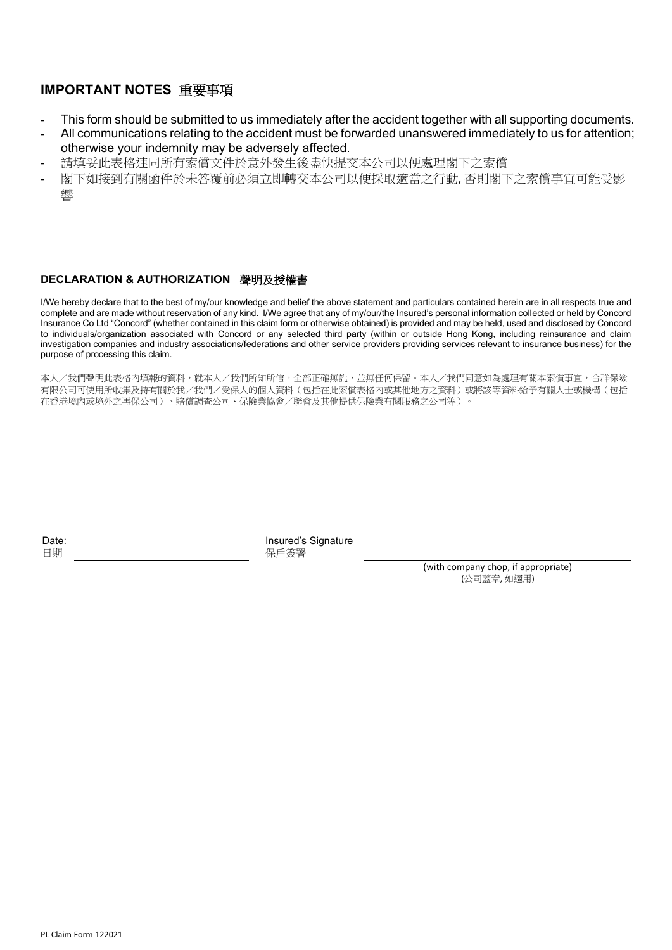#### **IMPORTANT NOTES** 重要事項

- This form should be submitted to us immediately after the accident together with all supporting documents.
- All communications relating to the accident must be forwarded unanswered immediately to us for attention; otherwise your indemnity may be adversely affected.
- 請填妥此表格連同所有索償文件於意外發生後盡快提交本公司以便處理閣下之索償
- 閣下如接到有關函件於未答覆前必須立即轉交本公司以便採取適當之行動, 否則閣下之索償事宜可能受影 響

#### **DECLARATION & AUTHORIZATION** 聲明及授權書

I/We hereby declare that to the best of my/our knowledge and belief the above statement and particulars contained herein are in all respects true and complete and are made without reservation of any kind. I/We agree that any of my/our/the Insured's personal information collected or held by Concord Insurance Co Ltd "Concord" (whether contained in this claim form or otherwise obtained) is provided and may be held, used and disclosed by Concord to individuals/organization associated with Concord or any selected third party (within or outside Hong Kong, including reinsurance and claim investigation companies and industry associations/federations and other service providers providing services relevant to insurance business) for the purpose of processing this claim.

本人/我們聲明此表格內填報的資料,就本人/我們所知所信,全部正確無訛,並無任何保留。本人/我們同意如為處理有關本索償事宜,合群保險 有限公司可使用所收集及持有關於我/我們/受保人的個人資料(包括在此索償表格內或其他地方之資料)或將該等資料給予有關人士或機構(包括 在香港境內或境外之再保公司)、賠償調查公司、保險業協會/聯會及其他提供保險業有關服務之公司等)。

Date: 日期

Insured's Signature 保戶簽署

(with company chop, if appropriate) (公司蓋章, 如適用)